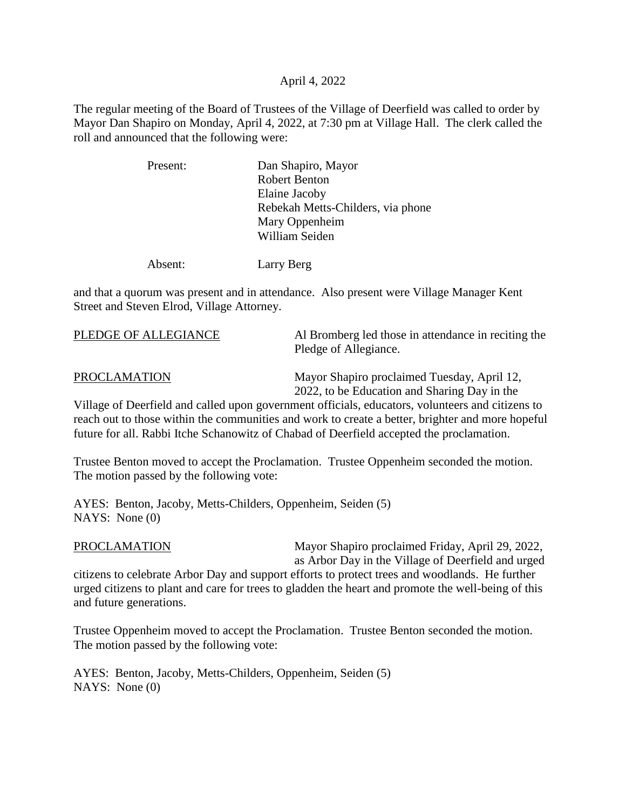## April 4, 2022

The regular meeting of the Board of Trustees of the Village of Deerfield was called to order by Mayor Dan Shapiro on Monday, April 4, 2022, at 7:30 pm at Village Hall. The clerk called the roll and announced that the following were:

| Present: | Dan Shapiro, Mayor                |
|----------|-----------------------------------|
|          | <b>Robert Benton</b>              |
|          | Elaine Jacoby                     |
|          | Rebekah Metts-Childers, via phone |
|          | Mary Oppenheim                    |
|          | William Seiden                    |
|          |                                   |

Absent: Larry Berg

and that a quorum was present and in attendance. Also present were Village Manager Kent Street and Steven Elrod, Village Attorney.

| PLEDGE OF ALLEGIANCE | Al Bromberg led those in attendance in reciting the<br>Pledge of Allegiance. |
|----------------------|------------------------------------------------------------------------------|
| <b>PROCLAMATION</b>  | Mayor Shapiro proclaimed Tuesday, April 12,                                  |

2022, to be Education and Sharing Day in the

Village of Deerfield and called upon government officials, educators, volunteers and citizens to reach out to those within the communities and work to create a better, brighter and more hopeful future for all. Rabbi Itche Schanowitz of Chabad of Deerfield accepted the proclamation.

Trustee Benton moved to accept the Proclamation. Trustee Oppenheim seconded the motion. The motion passed by the following vote:

AYES: Benton, Jacoby, Metts-Childers, Oppenheim, Seiden (5) NAYS: None (0)

PROCLAMATION Mayor Shapiro proclaimed Friday, April 29, 2022, as Arbor Day in the Village of Deerfield and urged

citizens to celebrate Arbor Day and support efforts to protect trees and woodlands. He further urged citizens to plant and care for trees to gladden the heart and promote the well-being of this and future generations.

Trustee Oppenheim moved to accept the Proclamation. Trustee Benton seconded the motion. The motion passed by the following vote:

AYES: Benton, Jacoby, Metts-Childers, Oppenheim, Seiden (5) NAYS: None (0)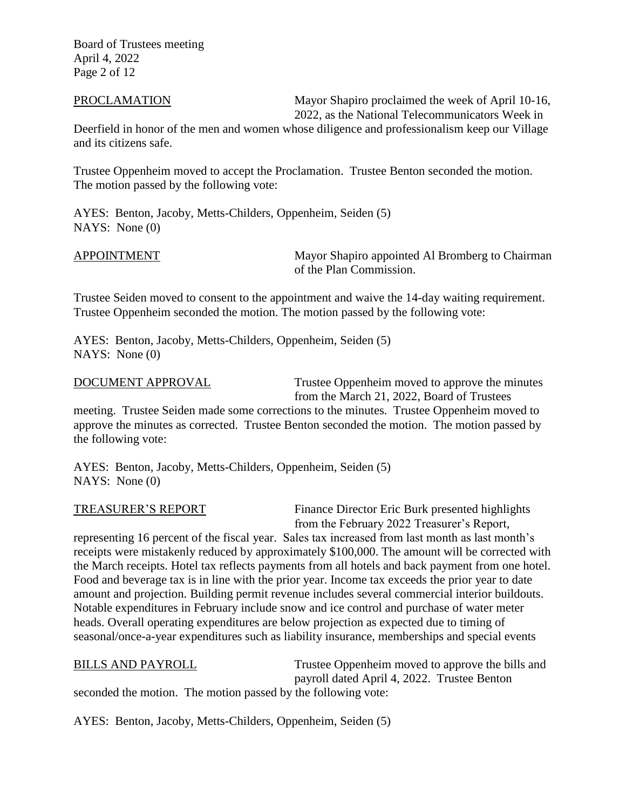Board of Trustees meeting April 4, 2022 Page 2 of 12

PROCLAMATION Mayor Shapiro proclaimed the week of April 10-16, 2022, as the National Telecommunicators Week in

Deerfield in honor of the men and women whose diligence and professionalism keep our Village and its citizens safe.

Trustee Oppenheim moved to accept the Proclamation. Trustee Benton seconded the motion. The motion passed by the following vote:

AYES: Benton, Jacoby, Metts-Childers, Oppenheim, Seiden (5) NAYS: None (0)

APPOINTMENT Mayor Shapiro appointed Al Bromberg to Chairman of the Plan Commission.

Trustee Seiden moved to consent to the appointment and waive the 14-day waiting requirement. Trustee Oppenheim seconded the motion. The motion passed by the following vote:

AYES: Benton, Jacoby, Metts-Childers, Oppenheim, Seiden (5) NAYS: None (0)

DOCUMENT APPROVAL Trustee Oppenheim moved to approve the minutes from the March 21, 2022, Board of Trustees

meeting. Trustee Seiden made some corrections to the minutes. Trustee Oppenheim moved to approve the minutes as corrected. Trustee Benton seconded the motion. The motion passed by the following vote:

AYES: Benton, Jacoby, Metts-Childers, Oppenheim, Seiden (5) NAYS: None (0)

TREASURER'S REPORT Finance Director Eric Burk presented highlights from the February 2022 Treasurer's Report,

representing 16 percent of the fiscal year. Sales tax increased from last month as last month's receipts were mistakenly reduced by approximately \$100,000. The amount will be corrected with the March receipts. Hotel tax reflects payments from all hotels and back payment from one hotel. Food and beverage tax is in line with the prior year. Income tax exceeds the prior year to date amount and projection. Building permit revenue includes several commercial interior buildouts. Notable expenditures in February include snow and ice control and purchase of water meter heads. Overall operating expenditures are below projection as expected due to timing of seasonal/once-a-year expenditures such as liability insurance, memberships and special events

## BILLS AND PAYROLL Trustee Oppenheim moved to approve the bills and payroll dated April 4, 2022. Trustee Benton seconded the motion. The motion passed by the following vote:

AYES: Benton, Jacoby, Metts-Childers, Oppenheim, Seiden (5)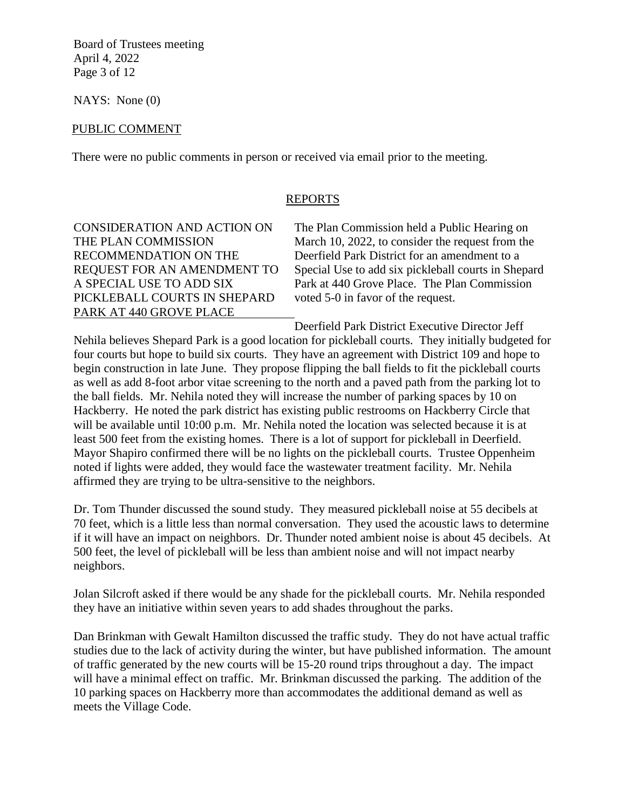Board of Trustees meeting April 4, 2022 Page 3 of 12

NAYS: None (0)

## PUBLIC COMMENT

There were no public comments in person or received via email prior to the meeting.

## REPORTS

PICKLEBALL COURTS IN SHEPARD voted 5-0 in favor of the request. PARK AT 440 GROVE PLACE

CONSIDERATION AND ACTION ON The Plan Commission held a Public Hearing on THE PLAN COMMISSION March 10, 2022, to consider the request from the RECOMMENDATION ON THE Deerfield Park District for an amendment to a REQUEST FOR AN AMENDMENT TO Special Use to add six pickleball courts in Shepard A SPECIAL USE TO ADD SIX Park at 440 Grove Place. The Plan Commission

Deerfield Park District Executive Director Jeff

Nehila believes Shepard Park is a good location for pickleball courts. They initially budgeted for four courts but hope to build six courts. They have an agreement with District 109 and hope to begin construction in late June. They propose flipping the ball fields to fit the pickleball courts as well as add 8-foot arbor vitae screening to the north and a paved path from the parking lot to the ball fields. Mr. Nehila noted they will increase the number of parking spaces by 10 on Hackberry. He noted the park district has existing public restrooms on Hackberry Circle that will be available until 10:00 p.m. Mr. Nehila noted the location was selected because it is at least 500 feet from the existing homes. There is a lot of support for pickleball in Deerfield. Mayor Shapiro confirmed there will be no lights on the pickleball courts. Trustee Oppenheim noted if lights were added, they would face the wastewater treatment facility. Mr. Nehila affirmed they are trying to be ultra-sensitive to the neighbors.

Dr. Tom Thunder discussed the sound study. They measured pickleball noise at 55 decibels at 70 feet, which is a little less than normal conversation. They used the acoustic laws to determine if it will have an impact on neighbors. Dr. Thunder noted ambient noise is about 45 decibels. At 500 feet, the level of pickleball will be less than ambient noise and will not impact nearby neighbors.

Jolan Silcroft asked if there would be any shade for the pickleball courts. Mr. Nehila responded they have an initiative within seven years to add shades throughout the parks.

Dan Brinkman with Gewalt Hamilton discussed the traffic study. They do not have actual traffic studies due to the lack of activity during the winter, but have published information. The amount of traffic generated by the new courts will be 15-20 round trips throughout a day. The impact will have a minimal effect on traffic. Mr. Brinkman discussed the parking. The addition of the 10 parking spaces on Hackberry more than accommodates the additional demand as well as meets the Village Code.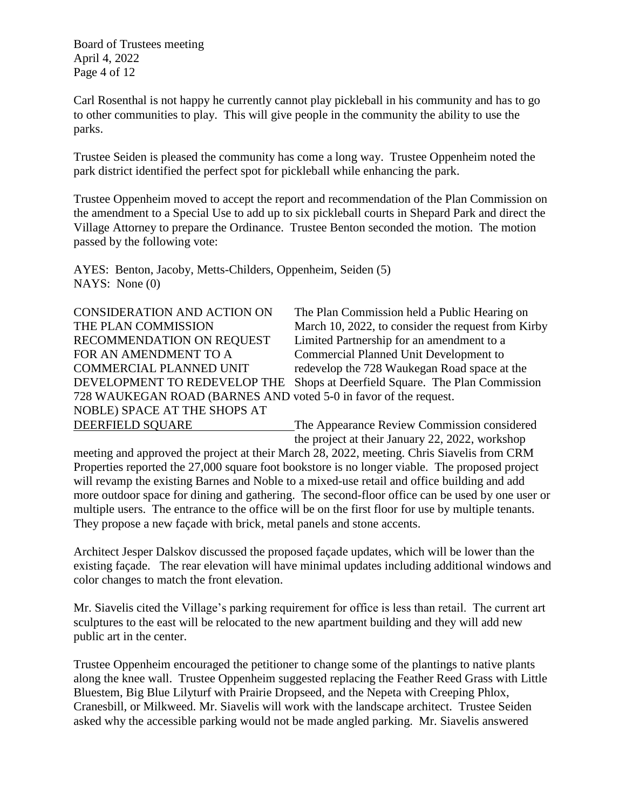Board of Trustees meeting April 4, 2022 Page 4 of 12

Carl Rosenthal is not happy he currently cannot play pickleball in his community and has to go to other communities to play. This will give people in the community the ability to use the parks.

Trustee Seiden is pleased the community has come a long way. Trustee Oppenheim noted the park district identified the perfect spot for pickleball while enhancing the park.

Trustee Oppenheim moved to accept the report and recommendation of the Plan Commission on the amendment to a Special Use to add up to six pickleball courts in Shepard Park and direct the Village Attorney to prepare the Ordinance. Trustee Benton seconded the motion. The motion passed by the following vote:

AYES: Benton, Jacoby, Metts-Childers, Oppenheim, Seiden (5) NAYS: None (0)

| CONSIDERATION AND ACTION ON                                      | The Plan Commission held a Public Hearing on       |
|------------------------------------------------------------------|----------------------------------------------------|
| THE PLAN COMMISSION                                              | March 10, 2022, to consider the request from Kirby |
| RECOMMENDATION ON REQUEST                                        | Limited Partnership for an amendment to a          |
| FOR AN AMENDMENT TO A                                            | Commercial Planned Unit Development to             |
| COMMERCIAL PLANNED UNIT                                          | redevelop the 728 Waukegan Road space at the       |
| DEVELOPMENT TO REDEVELOP THE                                     | Shops at Deerfield Square. The Plan Commission     |
| 728 WAUKEGAN ROAD (BARNES AND voted 5-0 in favor of the request. |                                                    |
| NOBLE) SPACE AT THE SHOPS AT                                     |                                                    |
| DEERFIELD SQUARE                                                 | The Appearance Review Commission considered        |

the project at their January 22, 2022, workshop meeting and approved the project at their March 28, 2022, meeting. Chris Siavelis from CRM Properties reported the 27,000 square foot bookstore is no longer viable. The proposed project will revamp the existing Barnes and Noble to a mixed-use retail and office building and add more outdoor space for dining and gathering. The second-floor office can be used by one user or multiple users. The entrance to the office will be on the first floor for use by multiple tenants. They propose a new façade with brick, metal panels and stone accents.

Architect Jesper Dalskov discussed the proposed façade updates, which will be lower than the existing façade. The rear elevation will have minimal updates including additional windows and color changes to match the front elevation.

Mr. Siavelis cited the Village's parking requirement for office is less than retail. The current art sculptures to the east will be relocated to the new apartment building and they will add new public art in the center.

Trustee Oppenheim encouraged the petitioner to change some of the plantings to native plants along the knee wall. Trustee Oppenheim suggested replacing the Feather Reed Grass with Little Bluestem, Big Blue Lilyturf with Prairie Dropseed, and the Nepeta with Creeping Phlox, Cranesbill, or Milkweed. Mr. Siavelis will work with the landscape architect. Trustee Seiden asked why the accessible parking would not be made angled parking. Mr. Siavelis answered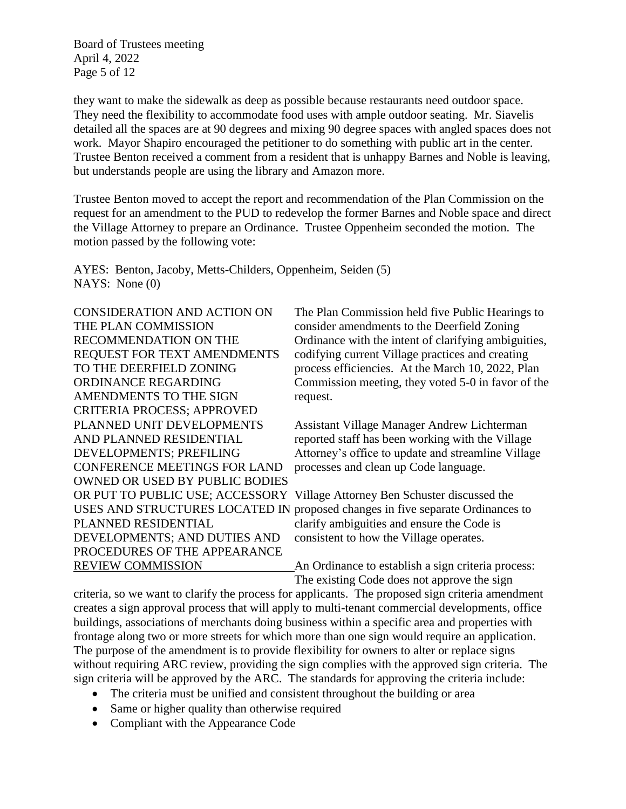Board of Trustees meeting April 4, 2022 Page 5 of 12

they want to make the sidewalk as deep as possible because restaurants need outdoor space. They need the flexibility to accommodate food uses with ample outdoor seating. Mr. Siavelis detailed all the spaces are at 90 degrees and mixing 90 degree spaces with angled spaces does not work. Mayor Shapiro encouraged the petitioner to do something with public art in the center. Trustee Benton received a comment from a resident that is unhappy Barnes and Noble is leaving, but understands people are using the library and Amazon more.

Trustee Benton moved to accept the report and recommendation of the Plan Commission on the request for an amendment to the PUD to redevelop the former Barnes and Noble space and direct the Village Attorney to prepare an Ordinance. Trustee Oppenheim seconded the motion. The motion passed by the following vote:

AYES: Benton, Jacoby, Metts-Childers, Oppenheim, Seiden (5) NAYS: None (0)

AMENDMENTS TO THE SIGN request. CRITERIA PROCESS; APPROVED CONFERENCE MEETINGS FOR LAND processes and clean up Code language. OWNED OR USED BY PUBLIC BODIES PLANNED RESIDENTIAL clarify ambiguities and ensure the Code is DEVELOPMENTS; AND DUTIES AND consistent to how the Village operates. PROCEDURES OF THE APPEARANCE

CONSIDERATION AND ACTION ON The Plan Commission held five Public Hearings to THE PLAN COMMISSION consider amendments to the Deerfield Zoning RECOMMENDATION ON THE Ordinance with the intent of clarifying ambiguities, REQUEST FOR TEXT AMENDMENTS codifying current Village practices and creating TO THE DEERFIELD ZONING process efficiencies. At the March 10, 2022, Plan ORDINANCE REGARDING Commission meeting, they voted 5-0 in favor of the

PLANNED UNIT DEVELOPMENTS Assistant Village Manager Andrew Lichterman AND PLANNED RESIDENTIAL reported staff has been working with the Village DEVELOPMENTS; PREFILING Attorney's office to update and streamline Village

OR PUT TO PUBLIC USE; ACCESSORY Village Attorney Ben Schuster discussed the USES AND STRUCTURES LOCATED IN proposed changes in five separate Ordinances to

REVIEW COMMISSION An Ordinance to establish a sign criteria process: The existing Code does not approve the sign

criteria, so we want to clarify the process for applicants. The proposed sign criteria amendment creates a sign approval process that will apply to multi-tenant commercial developments, office buildings, associations of merchants doing business within a specific area and properties with frontage along two or more streets for which more than one sign would require an application. The purpose of the amendment is to provide flexibility for owners to alter or replace signs without requiring ARC review, providing the sign complies with the approved sign criteria. The sign criteria will be approved by the ARC. The standards for approving the criteria include:

- The criteria must be unified and consistent throughout the building or area
- Same or higher quality than otherwise required
- Compliant with the Appearance Code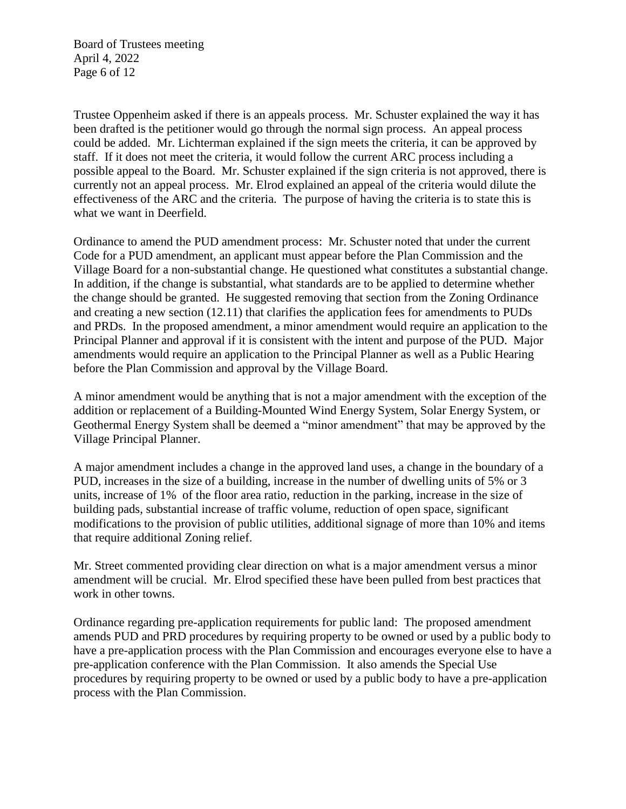Board of Trustees meeting April 4, 2022 Page 6 of 12

Trustee Oppenheim asked if there is an appeals process. Mr. Schuster explained the way it has been drafted is the petitioner would go through the normal sign process. An appeal process could be added. Mr. Lichterman explained if the sign meets the criteria, it can be approved by staff. If it does not meet the criteria, it would follow the current ARC process including a possible appeal to the Board. Mr. Schuster explained if the sign criteria is not approved, there is currently not an appeal process. Mr. Elrod explained an appeal of the criteria would dilute the effectiveness of the ARC and the criteria. The purpose of having the criteria is to state this is what we want in Deerfield.

Ordinance to amend the PUD amendment process: Mr. Schuster noted that under the current Code for a PUD amendment, an applicant must appear before the Plan Commission and the Village Board for a non-substantial change. He questioned what constitutes a substantial change. In addition, if the change is substantial, what standards are to be applied to determine whether the change should be granted. He suggested removing that section from the Zoning Ordinance and creating a new section (12.11) that clarifies the application fees for amendments to PUDs and PRDs. In the proposed amendment, a minor amendment would require an application to the Principal Planner and approval if it is consistent with the intent and purpose of the PUD. Major amendments would require an application to the Principal Planner as well as a Public Hearing before the Plan Commission and approval by the Village Board.

A minor amendment would be anything that is not a major amendment with the exception of the addition or replacement of a Building-Mounted Wind Energy System, Solar Energy System, or Geothermal Energy System shall be deemed a "minor amendment" that may be approved by the Village Principal Planner.

A major amendment includes a change in the approved land uses, a change in the boundary of a PUD, increases in the size of a building, increase in the number of dwelling units of 5% or 3 units, increase of 1% of the floor area ratio, reduction in the parking, increase in the size of building pads, substantial increase of traffic volume, reduction of open space, significant modifications to the provision of public utilities, additional signage of more than 10% and items that require additional Zoning relief.

Mr. Street commented providing clear direction on what is a major amendment versus a minor amendment will be crucial. Mr. Elrod specified these have been pulled from best practices that work in other towns.

Ordinance regarding pre-application requirements for public land: The proposed amendment amends PUD and PRD procedures by requiring property to be owned or used by a public body to have a pre-application process with the Plan Commission and encourages everyone else to have a pre-application conference with the Plan Commission. It also amends the Special Use procedures by requiring property to be owned or used by a public body to have a pre-application process with the Plan Commission.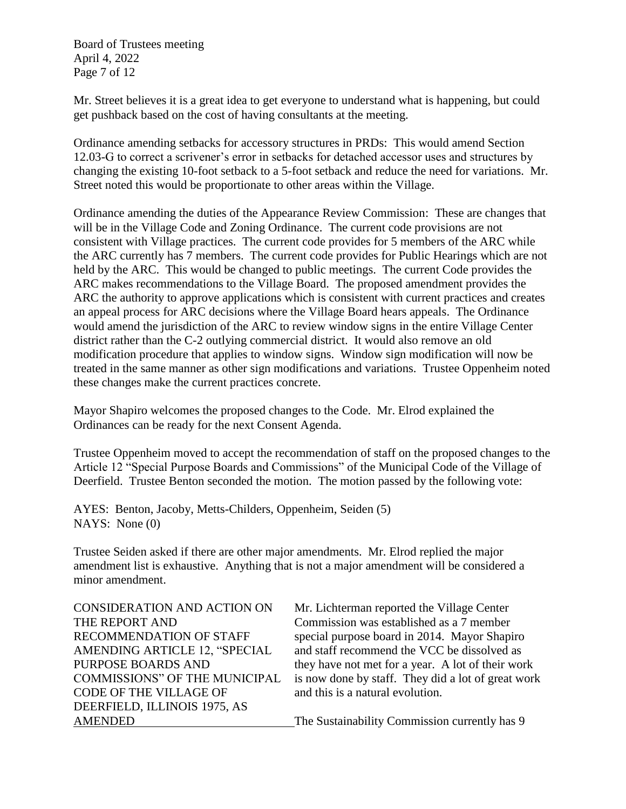Board of Trustees meeting April 4, 2022 Page 7 of 12

Mr. Street believes it is a great idea to get everyone to understand what is happening, but could get pushback based on the cost of having consultants at the meeting.

 Ordinance amending setbacks for accessory structures in PRDs: This would amend Section 12.03-G to correct a scrivener's error in setbacks for detached accessor uses and structures by changing the existing 10-foot setback to a 5-foot setback and reduce the need for variations. Mr. Street noted this would be proportionate to other areas within the Village.

 Ordinance amending the duties of the Appearance Review Commission: These are changes that treated in the same manner as other sign modifications and variations. Trustee Oppenheim noted will be in the Village Code and Zoning Ordinance. The current code provisions are not consistent with Village practices. The current code provides for 5 members of the ARC while the ARC currently has 7 members. The current code provides for Public Hearings which are not held by the ARC. This would be changed to public meetings. The current Code provides the ARC makes recommendations to the Village Board. The proposed amendment provides the ARC the authority to approve applications which is consistent with current practices and creates an appeal process for ARC decisions where the Village Board hears appeals. The Ordinance would amend the jurisdiction of the ARC to review window signs in the entire Village Center district rather than the C-2 outlying commercial district. It would also remove an old modification procedure that applies to window signs. Window sign modification will now be these changes make the current practices concrete.

Mayor Shapiro welcomes the proposed changes to the Code. Mr. Elrod explained the Ordinances can be ready for the next Consent Agenda.

Trustee Oppenheim moved to accept the recommendation of staff on the proposed changes to the Article 12 "Special Purpose Boards and Commissions" of the Municipal Code of the Village of Deerfield. Trustee Benton seconded the motion. The motion passed by the following vote:

AYES: Benton, Jacoby, Metts-Childers, Oppenheim, Seiden (5) NAYS: None (0)

Trustee Seiden asked if there are other major amendments. Mr. Elrod replied the major amendment list is exhaustive. Anything that is not a major amendment will be considered a minor amendment.

CODE OF THE VILLAGE OF and this is a natural evolution. DEERFIELD, ILLINOIS 1975, AS

CONSIDERATION AND ACTION ON Mr. Lichterman reported the Village Center THE REPORT AND Commission was established as a 7 member RECOMMENDATION OF STAFF special purpose board in 2014. Mayor Shapiro AMENDING ARTICLE 12, "SPECIAL and staff recommend the VCC be dissolved as PURPOSE BOARDS AND they have not met for a year. A lot of their work COMMISSIONS" OF THE MUNICIPAL is now done by staff. They did a lot of great work

AMENDED The Sustainability Commission currently has 9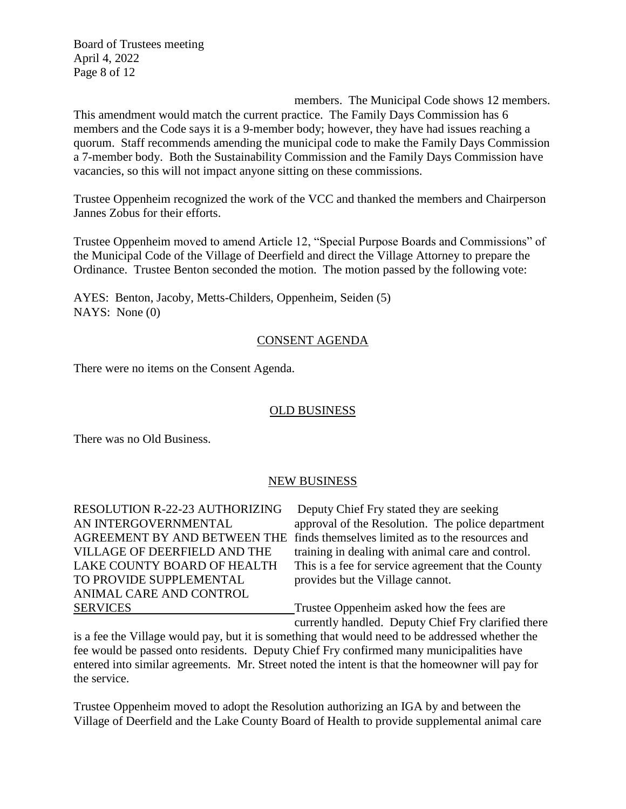Board of Trustees meeting April 4, 2022 Page 8 of 12

members. The Municipal Code shows 12 members. This amendment would match the current practice. The Family Days Commission has 6 members and the Code says it is a 9-member body; however, they have had issues reaching a quorum. Staff recommends amending the municipal code to make the Family Days Commission a 7-member body. Both the Sustainability Commission and the Family Days Commission have vacancies, so this will not impact anyone sitting on these commissions.

Trustee Oppenheim recognized the work of the VCC and thanked the members and Chairperson Jannes Zobus for their efforts.

Trustee Oppenheim moved to amend Article 12, "Special Purpose Boards and Commissions" of the Municipal Code of the Village of Deerfield and direct the Village Attorney to prepare the Ordinance. Trustee Benton seconded the motion. The motion passed by the following vote:

AYES: Benton, Jacoby, Metts-Childers, Oppenheim, Seiden (5) NAYS: None (0)

# CONSENT AGENDA

There were no items on the Consent Agenda.

# OLD BUSINESS

There was no Old Business.

# NEW BUSINESS

RESOLUTION R-22-23 AUTHORIZING Deputy Chief Fry stated they are seeking TO PROVIDE SUPPLEMENTAL provides but the Village cannot. ANIMAL CARE AND CONTROL SERVICES Trustee Oppenheim asked how the fees are

AN INTERGOVERNMENTAL approval of the Resolution. The police department AGREEMENT BY AND BETWEEN THE finds themselves limited as to the resources and VILLAGE OF DEERFIELD AND THE training in dealing with animal care and control. LAKE COUNTY BOARD OF HEALTH This is a fee for service agreement that the County

currently handled. Deputy Chief Fry clarified there

is a fee the Village would pay, but it is something that would need to be addressed whether the fee would be passed onto residents. Deputy Chief Fry confirmed many municipalities have entered into similar agreements. Mr. Street noted the intent is that the homeowner will pay for the service.

Trustee Oppenheim moved to adopt the Resolution authorizing an IGA by and between the Village of Deerfield and the Lake County Board of Health to provide supplemental animal care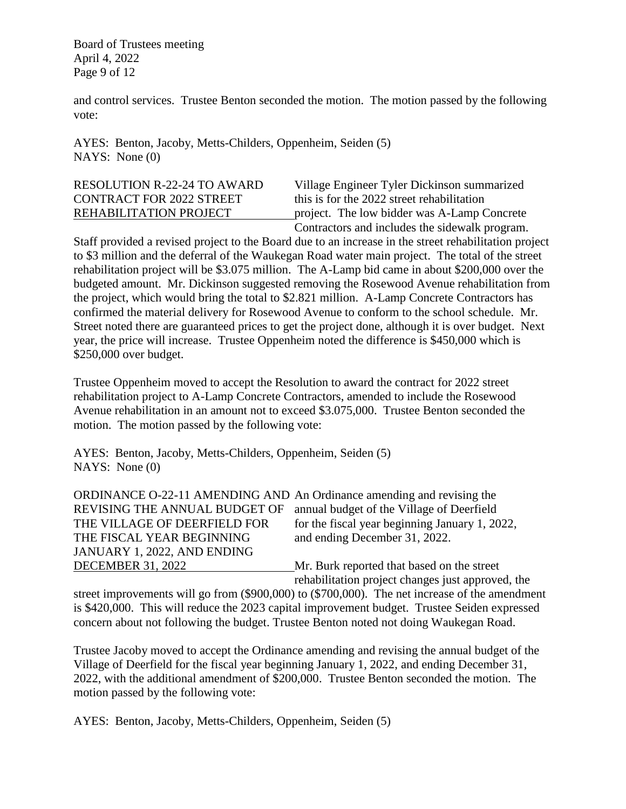Board of Trustees meeting April 4, 2022 Page 9 of 12

and control services. Trustee Benton seconded the motion. The motion passed by the following vote:

AYES: Benton, Jacoby, Metts-Childers, Oppenheim, Seiden (5) NAYS: None (0)

# CONTRACT FOR 2022 STREET this is for the 2022 street rehabilitation

RESOLUTION R-22-24 TO AWARD Village Engineer Tyler Dickinson summarized REHABILITATION PROJECT project. The low bidder was A-Lamp Concrete Contractors and includes the sidewalk program.

Staff provided a revised project to the Board due to an increase in the street rehabilitation project to \$3 million and the deferral of the Waukegan Road water main project. The total of the street rehabilitation project will be \$3.075 million. The A-Lamp bid came in about \$200,000 over the budgeted amount. Mr. Dickinson suggested removing the Rosewood Avenue rehabilitation from the project, which would bring the total to \$2.821 million. A-Lamp Concrete Contractors has confirmed the material delivery for Rosewood Avenue to conform to the school schedule. Mr. Street noted there are guaranteed prices to get the project done, although it is over budget. Next year, the price will increase. Trustee Oppenheim noted the difference is \$450,000 which is \$250,000 over budget.

Trustee Oppenheim moved to accept the Resolution to award the contract for 2022 street rehabilitation project to A-Lamp Concrete Contractors, amended to include the Rosewood Avenue rehabilitation in an amount not to exceed \$3.075,000. Trustee Benton seconded the motion. The motion passed by the following vote:

AYES: Benton, Jacoby, Metts-Childers, Oppenheim, Seiden (5) NAYS: None (0)

| ORDINANCE O-22-11 AMENDING AND An Ordinance amending and revising the |                                                   |
|-----------------------------------------------------------------------|---------------------------------------------------|
| REVISING THE ANNUAL BUDGET OF                                         | annual budget of the Village of Deerfield         |
| THE VILLAGE OF DEERFIELD FOR                                          | for the fiscal year beginning January 1, 2022,    |
| THE FISCAL YEAR BEGINNING                                             | and ending December 31, 2022.                     |
| JANUARY 1, 2022, AND ENDING                                           |                                                   |
| <b>DECEMBER 31, 2022</b>                                              | Mr. Burk reported that based on the street        |
|                                                                       | rehabilitation project changes just approved, the |

street improvements will go from (\$900,000) to (\$700,000). The net increase of the amendment is \$420,000. This will reduce the 2023 capital improvement budget. Trustee Seiden expressed concern about not following the budget. Trustee Benton noted not doing Waukegan Road.

Trustee Jacoby moved to accept the Ordinance amending and revising the annual budget of the Village of Deerfield for the fiscal year beginning January 1, 2022, and ending December 31, 2022, with the additional amendment of \$200,000. Trustee Benton seconded the motion. The motion passed by the following vote:

AYES: Benton, Jacoby, Metts-Childers, Oppenheim, Seiden (5)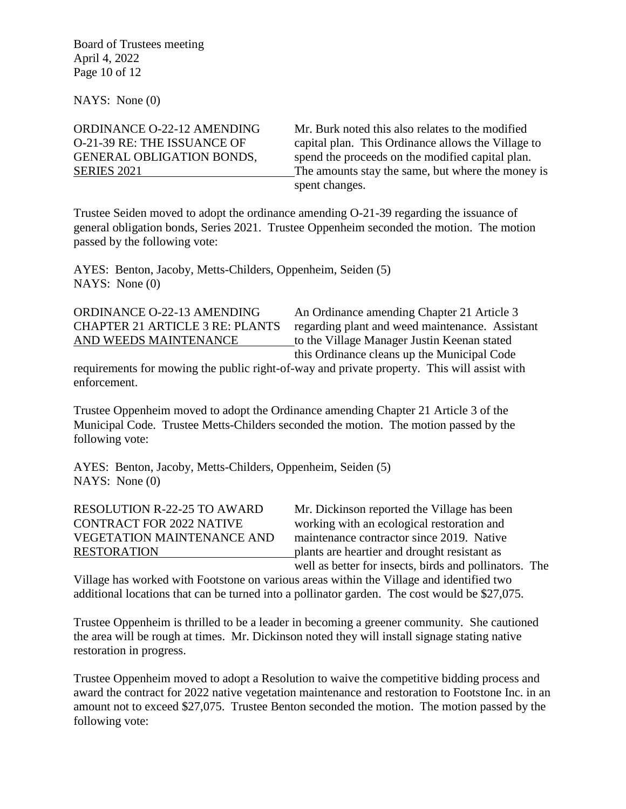Board of Trustees meeting April 4, 2022 Page 10 of 12

NAYS: None (0)

ORDINANCE O-22-12 AMENDING Mr. Burk noted this also relates to the modified O-21-39 RE: THE ISSUANCE OF capital plan. This Ordinance allows the Village to GENERAL OBLIGATION BONDS, spend the proceeds on the modified capital plan. SERIES 2021 The amounts stay the same, but where the money is spent changes.

Trustee Seiden moved to adopt the ordinance amending O-21-39 regarding the issuance of general obligation bonds, Series 2021. Trustee Oppenheim seconded the motion. The motion passed by the following vote:

AYES: Benton, Jacoby, Metts-Childers, Oppenheim, Seiden (5) NAYS: None (0)

ORDINANCE O-22-13 AMENDING An Ordinance amending Chapter 21 Article 3 CHAPTER 21 ARTICLE 3 RE: PLANTS regarding plant and weed maintenance. Assistant AND WEEDS MAINTENANCE to the Village Manager Justin Keenan stated this Ordinance cleans up the Municipal Code

requirements for mowing the public right-of-way and private property. This will assist with enforcement.

Trustee Oppenheim moved to adopt the Ordinance amending Chapter 21 Article 3 of the Municipal Code. Trustee Metts-Childers seconded the motion. The motion passed by the following vote:

AYES: Benton, Jacoby, Metts-Childers, Oppenheim, Seiden (5) NAYS: None (0)

RESOLUTION R-22-25 TO AWARD Mr. Dickinson reported the Village has been CONTRACT FOR 2022 NATIVE working with an ecological restoration and VEGETATION MAINTENANCE AND maintenance contractor since 2019. Native RESTORATION plants are heartier and drought resistant as well as better for insects, birds and pollinators. The

Village has worked with Footstone on various areas within the Village and identified two additional locations that can be turned into a pollinator garden. The cost would be \$27,075.

Trustee Oppenheim is thrilled to be a leader in becoming a greener community. She cautioned the area will be rough at times. Mr. Dickinson noted they will install signage stating native restoration in progress.

Trustee Oppenheim moved to adopt a Resolution to waive the competitive bidding process and award the contract for 2022 native vegetation maintenance and restoration to Footstone Inc. in an amount not to exceed \$27,075. Trustee Benton seconded the motion. The motion passed by the following vote: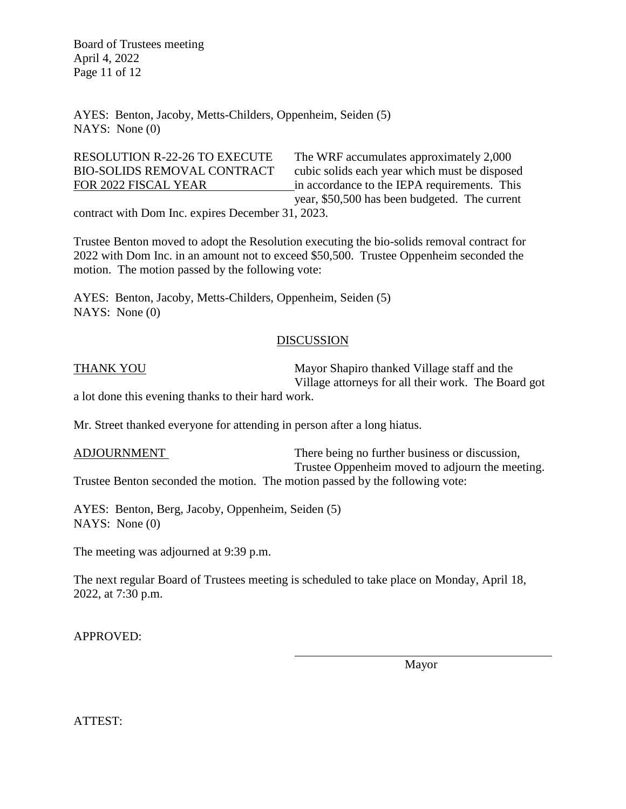Board of Trustees meeting April 4, 2022 Page 11 of 12

AYES: Benton, Jacoby, Metts-Childers, Oppenheim, Seiden (5) NAYS: None (0)

RESOLUTION R-22-26 TO EXECUTE The WRF accumulates approximately 2,000 BIO-SOLIDS REMOVAL CONTRACT cubic solids each year which must be disposed FOR 2022 FISCAL YEAR in accordance to the IEPA requirements. This year, \$50,500 has been budgeted. The current

contract with Dom Inc. expires December 31, 2023.

Trustee Benton moved to adopt the Resolution executing the bio-solids removal contract for 2022 with Dom Inc. in an amount not to exceed \$50,500. Trustee Oppenheim seconded the motion. The motion passed by the following vote:

AYES: Benton, Jacoby, Metts-Childers, Oppenheim, Seiden (5) NAYS: None (0)

## DISCUSSION

THANK YOU Mayor Shapiro thanked Village staff and the Village attorneys for all their work. The Board got

a lot done this evening thanks to their hard work.

Mr. Street thanked everyone for attending in person after a long hiatus.

ADJOURNMENT There being no further business or discussion, Trustee Oppenheim moved to adjourn the meeting. Trustee Benton seconded the motion. The motion passed by the following vote:

AYES: Benton, Berg, Jacoby, Oppenheim, Seiden (5) NAYS: None (0)

The meeting was adjourned at 9:39 p.m.

The next regular Board of Trustees meeting is scheduled to take place on Monday, April 18, 2022, at 7:30 p.m.

APPROVED:

Mayor

ATTEST: